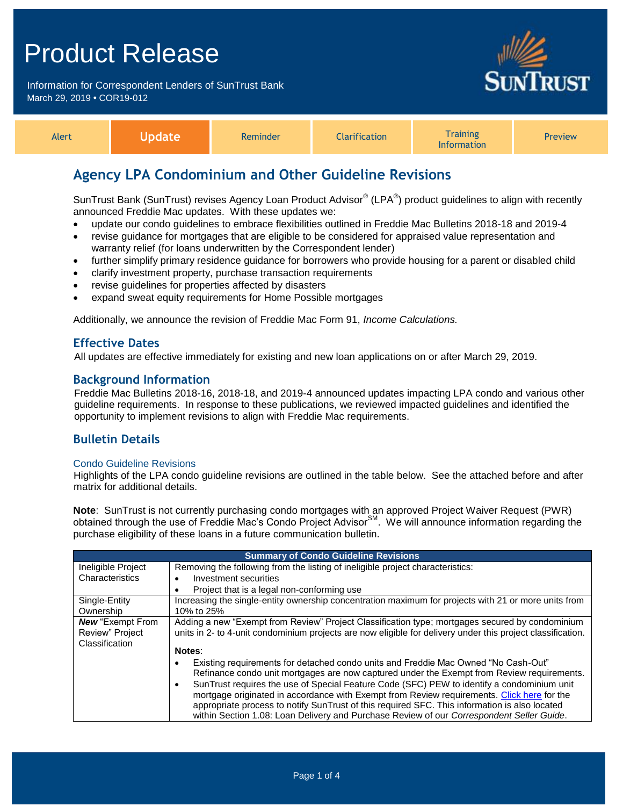Information for Correspondent Lenders of SunTrust Bank March 29, 2019 **•** COR19-012



| Alert | Jpdate | Reminder | <b>Clarification</b> | <b>Training</b><br><b>Information</b> | <b>Preview</b> |
|-------|--------|----------|----------------------|---------------------------------------|----------------|
|-------|--------|----------|----------------------|---------------------------------------|----------------|

## **Agency LPA Condominium and Other Guideline Revisions**

SunTrust Bank (SunTrust) revises Agency Loan Product Advisor® (LPA®) product guidelines to align with recently announced Freddie Mac updates. With these updates we:

- update our condo guidelines to embrace flexibilities outlined in Freddie Mac Bulletins 2018-18 and 2019-4
- revise guidance for mortgages that are eligible to be considered for appraised value representation and warranty relief (for loans underwritten by the Correspondent lender)
- further simplify primary residence guidance for borrowers who provide housing for a parent or disabled child
- clarify investment property, purchase transaction requirements
- revise guidelines for properties affected by disasters
- expand sweat equity requirements for Home Possible mortgages

Additionally, we announce the revision of Freddie Mac Form 91, *Income Calculations.*

## **Effective Dates**

All updates are effective immediately for existing and new loan applications on or after March 29, 2019.

### **Background Information**

Freddie Mac Bulletins 2018-16, 2018-18, and 2019-4 announced updates impacting LPA condo and various other guideline requirements. In response to these publications, we reviewed impacted guidelines and identified the opportunity to implement revisions to align with Freddie Mac requirements.

## **Bulletin Details**

### Condo Guideline Revisions

Highlights of the LPA condo guideline revisions are outlined in the table below. See the attached before and after matrix for additional details.

**Note**: SunTrust is not currently purchasing condo mortgages with an approved Project Waiver Request (PWR) obtained through the use of Freddie Mac's Condo Project Advisor<sup>SM</sup>. We will announce information regarding the purchase eligibility of these loans in a future communication bulletin.

| <b>Summary of Condo Guideline Revisions</b> |                                                                                                             |  |  |  |
|---------------------------------------------|-------------------------------------------------------------------------------------------------------------|--|--|--|
| Ineligible Project                          | Removing the following from the listing of ineligible project characteristics:                              |  |  |  |
| Characteristics                             | Investment securities                                                                                       |  |  |  |
|                                             | Project that is a legal non-conforming use                                                                  |  |  |  |
| Single-Entity                               | Increasing the single-entity ownership concentration maximum for projects with 21 or more units from        |  |  |  |
| Ownership                                   | 10% to 25%                                                                                                  |  |  |  |
| <b>New "Exempt From</b>                     | Adding a new "Exempt from Review" Project Classification type; mortgages secured by condominium             |  |  |  |
| Review" Project                             | units in 2- to 4-unit condominium projects are now eligible for delivery under this project classification. |  |  |  |
| Classification                              |                                                                                                             |  |  |  |
|                                             | Notes:                                                                                                      |  |  |  |
|                                             | Existing requirements for detached condo units and Freddie Mac Owned "No Cash-Out"                          |  |  |  |
|                                             | Refinance condo unit mortgages are now captured under the Exempt from Review requirements.                  |  |  |  |
|                                             | SunTrust requires the use of Special Feature Code (SFC) PEW to identify a condominium unit                  |  |  |  |
|                                             | mortgage originated in accordance with Exempt from Review requirements. Click here for the                  |  |  |  |
|                                             | appropriate process to notify SunTrust of this required SFC. This information is also located               |  |  |  |
|                                             | within Section 1.08: Loan Delivery and Purchase Review of our Correspondent Seller Guide.                   |  |  |  |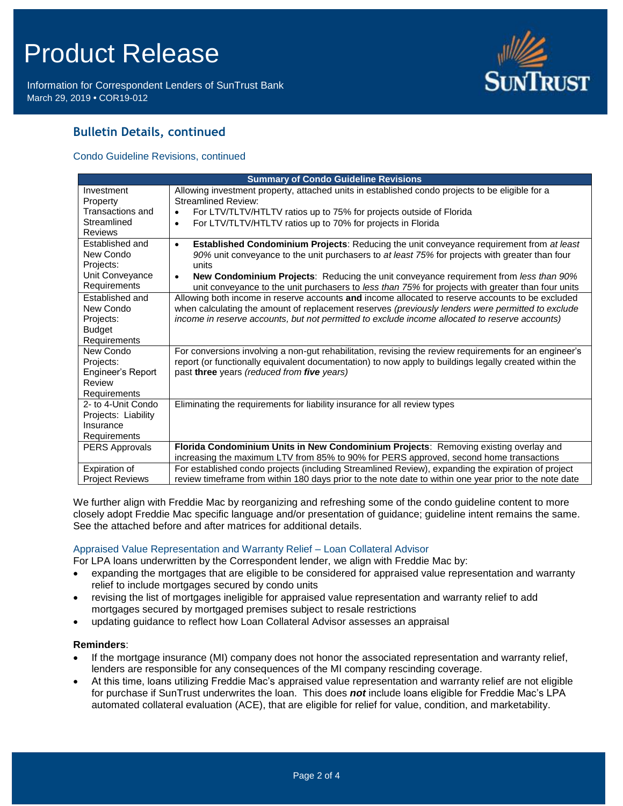Information for Correspondent Lenders of SunTrust Bank March 29, 2019 **•** COR19-012



## **Bulletin Details, continued**

Condo Guideline Revisions, continued

| <b>Summary of Condo Guideline Revisions</b>                                      |                                                                                                                                                                                                                                                                                                                                                                                                |  |  |  |
|----------------------------------------------------------------------------------|------------------------------------------------------------------------------------------------------------------------------------------------------------------------------------------------------------------------------------------------------------------------------------------------------------------------------------------------------------------------------------------------|--|--|--|
| Investment                                                                       | Allowing investment property, attached units in established condo projects to be eligible for a                                                                                                                                                                                                                                                                                                |  |  |  |
| Property                                                                         | Streamlined Review:                                                                                                                                                                                                                                                                                                                                                                            |  |  |  |
| Transactions and                                                                 | For LTV/TLTV/HTLTV ratios up to 75% for projects outside of Florida<br>$\bullet$                                                                                                                                                                                                                                                                                                               |  |  |  |
| Streamlined                                                                      | For LTV/TLTV/HTLTV ratios up to 70% for projects in Florida<br>$\bullet$                                                                                                                                                                                                                                                                                                                       |  |  |  |
| <b>Reviews</b>                                                                   |                                                                                                                                                                                                                                                                                                                                                                                                |  |  |  |
| Established and                                                                  | <b>Established Condominium Projects: Reducing the unit conveyance requirement from at least</b><br>$\bullet$                                                                                                                                                                                                                                                                                   |  |  |  |
| New Condo                                                                        | 90% unit conveyance to the unit purchasers to at least 75% for projects with greater than four                                                                                                                                                                                                                                                                                                 |  |  |  |
| Projects:                                                                        | units                                                                                                                                                                                                                                                                                                                                                                                          |  |  |  |
| Unit Conveyance                                                                  | New Condominium Projects: Reducing the unit conveyance requirement from less than 90%<br>$\bullet$                                                                                                                                                                                                                                                                                             |  |  |  |
| Requirements                                                                     | unit conveyance to the unit purchasers to less than 75% for projects with greater than four units                                                                                                                                                                                                                                                                                              |  |  |  |
| Established and                                                                  | Allowing both income in reserve accounts and income allocated to reserve accounts to be excluded                                                                                                                                                                                                                                                                                               |  |  |  |
| New Condo                                                                        | when calculating the amount of replacement reserves (previously lenders were permitted to exclude                                                                                                                                                                                                                                                                                              |  |  |  |
| Projects:                                                                        | income in reserve accounts, but not permitted to exclude income allocated to reserve accounts)                                                                                                                                                                                                                                                                                                 |  |  |  |
| <b>Budget</b>                                                                    |                                                                                                                                                                                                                                                                                                                                                                                                |  |  |  |
| Requirements                                                                     |                                                                                                                                                                                                                                                                                                                                                                                                |  |  |  |
| New Condo                                                                        | For conversions involving a non-gut rehabilitation, revising the review requirements for an engineer's                                                                                                                                                                                                                                                                                         |  |  |  |
| Projects:                                                                        | report (or functionally equivalent documentation) to now apply to buildings legally created within the                                                                                                                                                                                                                                                                                         |  |  |  |
| Engineer's Report                                                                | past three years (reduced from five years)                                                                                                                                                                                                                                                                                                                                                     |  |  |  |
| Review                                                                           |                                                                                                                                                                                                                                                                                                                                                                                                |  |  |  |
| <b>Requirements</b>                                                              |                                                                                                                                                                                                                                                                                                                                                                                                |  |  |  |
| 2- to 4-Unit Condo                                                               | Eliminating the requirements for liability insurance for all review types                                                                                                                                                                                                                                                                                                                      |  |  |  |
| Projects: Liability                                                              |                                                                                                                                                                                                                                                                                                                                                                                                |  |  |  |
| Insurance                                                                        |                                                                                                                                                                                                                                                                                                                                                                                                |  |  |  |
|                                                                                  |                                                                                                                                                                                                                                                                                                                                                                                                |  |  |  |
|                                                                                  |                                                                                                                                                                                                                                                                                                                                                                                                |  |  |  |
|                                                                                  |                                                                                                                                                                                                                                                                                                                                                                                                |  |  |  |
|                                                                                  |                                                                                                                                                                                                                                                                                                                                                                                                |  |  |  |
| Requirements<br><b>PERS Approvals</b><br>Expiration of<br><b>Project Reviews</b> | Florida Condominium Units in New Condominium Projects: Removing existing overlay and<br>increasing the maximum LTV from 85% to 90% for PERS approved, second home transactions<br>For established condo projects (including Streamlined Review), expanding the expiration of project<br>review timeframe from within 180 days prior to the note date to within one year prior to the note date |  |  |  |

We further align with Freddie Mac by reorganizing and refreshing some of the condo guideline content to more closely adopt Freddie Mac specific language and/or presentation of guidance; guideline intent remains the same. See the attached before and after matrices for additional details.

### Appraised Value Representation and Warranty Relief – Loan Collateral Advisor

For LPA loans underwritten by the Correspondent lender, we align with Freddie Mac by:

- expanding the mortgages that are eligible to be considered for appraised value representation and warranty relief to include mortgages secured by condo units
- revising the list of mortgages ineligible for appraised value representation and warranty relief to add mortgages secured by mortgaged premises subject to resale restrictions
- updating guidance to reflect how Loan Collateral Advisor assesses an appraisal

### **Reminders**:

- If the mortgage insurance (MI) company does not honor the associated representation and warranty relief, lenders are responsible for any consequences of the MI company rescinding coverage.
- At this time, loans utilizing Freddie Mac's appraised value representation and warranty relief are not eligible for purchase if SunTrust underwrites the loan. This does *not* include loans eligible for Freddie Mac's LPA automated collateral evaluation (ACE), that are eligible for relief for value, condition, and marketability.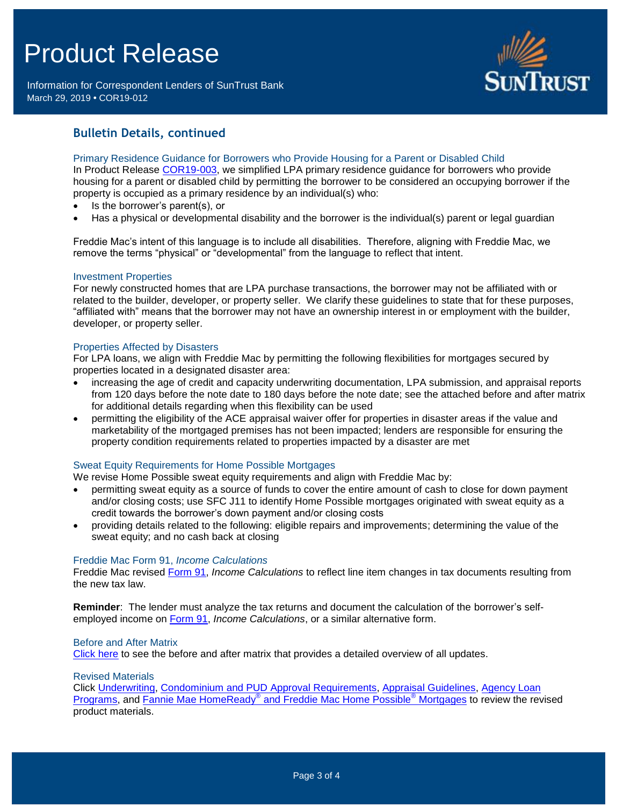Information for Correspondent Lenders of SunTrust Bank March 29, 2019 **•** COR19-012



## **Bulletin Details, continued**

Primary Residence Guidance for Borrowers who Provide Housing for a Parent or Disabled Child In Product Release [COR19-003,](https://www.truistsellerguide.com/Manual/cor/bulletins/archive/Cr19-003.pdf) we simplified LPA primary residence guidance for borrowers who provide housing for a parent or disabled child by permitting the borrower to be considered an occupying borrower if the property is occupied as a primary residence by an individual(s) who:

- Is the borrower's parent(s), or
- Has a physical or developmental disability and the borrower is the individual(s) parent or legal guardian

Freddie Mac's intent of this language is to include all disabilities. Therefore, aligning with Freddie Mac, we remove the terms "physical" or "developmental" from the language to reflect that intent.

### Investment Properties

For newly constructed homes that are LPA purchase transactions, the borrower may not be affiliated with or related to the builder, developer, or property seller. We clarify these guidelines to state that for these purposes, "affiliated with" means that the borrower may not have an ownership interest in or employment with the builder, developer, or property seller.

### Properties Affected by Disasters

For LPA loans, we align with Freddie Mac by permitting the following flexibilities for mortgages secured by properties located in a designated disaster area:

- increasing the age of credit and capacity underwriting documentation, LPA submission, and appraisal reports from 120 days before the note date to 180 days before the note date; see the attached before and after matrix for additional details regarding when this flexibility can be used
- permitting the eligibility of the ACE appraisal waiver offer for properties in disaster areas if the value and marketability of the mortgaged premises has not been impacted; lenders are responsible for ensuring the property condition requirements related to properties impacted by a disaster are met

### Sweat Equity Requirements for Home Possible Mortgages

We revise Home Possible sweat equity requirements and align with Freddie Mac by:

- permitting sweat equity as a source of funds to cover the entire amount of cash to close for down payment and/or closing costs; use SFC J11 to identify Home Possible mortgages originated with sweat equity as a credit towards the borrower's down payment and/or closing costs
- providing details related to the following: eligible repairs and improvements; determining the value of the sweat equity; and no cash back at closing

#### Freddie Mac Form 91, *Income Calculations*

Freddie Mac revised [Form 91,](http://www.freddiemac.com/singlefamily/forms/sell/pdf/91.pdf) *Income Calculations* to reflect line item changes in tax documents resulting from the new tax law.

**Reminder**: The lender must analyze the tax returns and document the calculation of the borrower's selfemployed income on [Form 91,](http://www.freddiemac.com/singlefamily/forms/sell/pdf/91.pdf) *Income Calculations*, or a similar alternative form.

#### Before and After Matrix

[Click here](http://www.truistsellerguide.com/manual/cor/products/Cr19-012BA.pdf) to see the before and after matrix that provides a detailed overview of all updates.

#### Revised Materials

Click [Underwriting,](https://www.truistsellerguide.com/Manual/cor/general/1.05Underwriting.pdf) [Condominium and PUD Approval Requirements,](https://www.truistsellerguide.com/Manual/cor/general/1.06CondoPUD.pdf) [Appraisal Guidelines,](https://www.truistsellerguide.com/Manual/cor/general/1.07Appraisals.pdf) [Agency Loan](https://www.truistsellerguide.com/manual/cor/products/CAgency.pdf)  [Programs,](https://www.truistsellerguide.com/manual/cor/products/CAgency.pdf) and Fannie Mae HomeReady<sup>®</sup> [and Freddie Mac Home Possible](https://www.truistsellerguide.com/Manual/cor/products/CHomeReadyandHomePossible.pdf)<sup>®</sup> Mortgages to review the revised product materials.